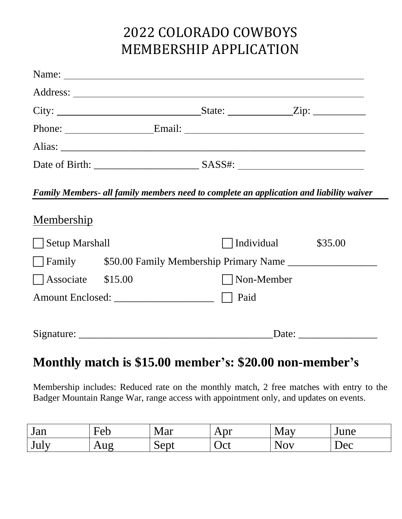# 2022 COLORADO COWBOYS MEMBERSHIP APPLICATION

|      | Family Members- all family members need to complete an application and liability waiver |  |  |  |  |
|------|-----------------------------------------------------------------------------------------|--|--|--|--|
|      |                                                                                         |  |  |  |  |
|      | Individual<br>\$35.00                                                                   |  |  |  |  |
|      |                                                                                         |  |  |  |  |
|      | Non-Member                                                                              |  |  |  |  |
| Paid |                                                                                         |  |  |  |  |
|      |                                                                                         |  |  |  |  |
|      | Date: $\qquad \qquad$                                                                   |  |  |  |  |
|      |                                                                                         |  |  |  |  |

## **Monthly match is \$15.00 member's: \$20.00 non-member's**

Membership includes: Reduced rate on the monthly match, 2 free matches with entry to the Badger Mountain Range War, range access with appointment only, and updates on events.

| Jan      | —<br>HAN<br>$\mathsf{U}$ | - -<br>Mar | Apr | May                            | June |
|----------|--------------------------|------------|-----|--------------------------------|------|
| .<br>JUL | $\sim$ $\mathcal{U}$     | ~<br>Sept  | Oct | $\mathbf{X}$<br>N <sub>O</sub> | Dec  |